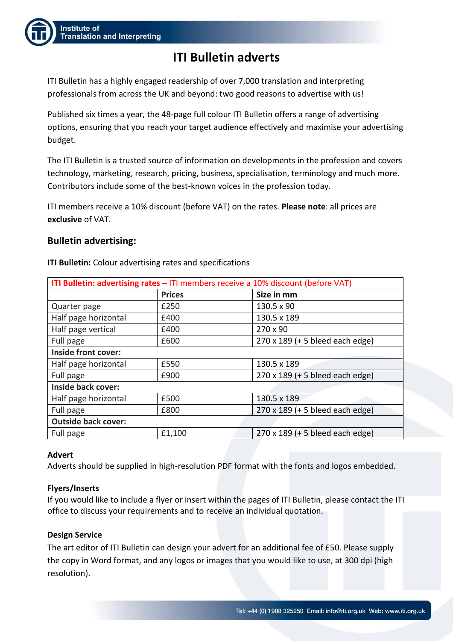

# **ITI Bulletin adverts**

ITI Bulletin has a highly engaged readership of over 7,000 translation and interpreting professionals from across the UK and beyond: two good reasons to advertise with us!

Published six times a year, the 48-page full colour ITI Bulletin offers a range of advertising options, ensuring that you reach your target audience effectively and maximise your advertising budget.

The ITI Bulletin is a trusted source of information on developments in the profession and covers technology, marketing, research, pricing, business, specialisation, terminology and much more. Contributors include some of the best-known voices in the profession today.

ITI members receive a 10% discount (before VAT) on the rates. **Please note**: all prices are **exclusive** of VAT.

## **Bulletin advertising:**

**ITI Bulletin:** Colour advertising rates and specifications

| ITI Bulletin: advertising rates - ITI members receive a 10% discount (before VAT) |               |                                 |  |  |
|-----------------------------------------------------------------------------------|---------------|---------------------------------|--|--|
|                                                                                   | <b>Prices</b> | Size in mm                      |  |  |
| Quarter page                                                                      | £250          | 130.5 x 90                      |  |  |
| Half page horizontal                                                              | £400          | 130.5 x 189                     |  |  |
| Half page vertical                                                                | £400          | 270 x 90                        |  |  |
| Full page                                                                         | £600          | 270 x 189 (+ 5 bleed each edge) |  |  |
| Inside front cover:                                                               |               |                                 |  |  |
| Half page horizontal                                                              | £550          | 130.5 x 189                     |  |  |
| Full page                                                                         | £900          | 270 x 189 (+ 5 bleed each edge) |  |  |
| <b>Inside back cover:</b>                                                         |               |                                 |  |  |
| Half page horizontal                                                              | £500          | 130.5 x 189                     |  |  |
| Full page                                                                         | £800          | 270 x 189 (+ 5 bleed each edge) |  |  |
| <b>Outside back cover:</b>                                                        |               |                                 |  |  |
| Full page                                                                         | £1,100        | 270 x 189 (+ 5 bleed each edge) |  |  |

### **Advert**

Adverts should be supplied in high-resolution PDF format with the fonts and logos embedded.

### **Flyers/Inserts**

If you would like to include a flyer or insert within the pages of ITI Bulletin, please contact the ITI office to discuss your requirements and to receive an individual quotation.

### **Design Service**

The art editor of ITI Bulletin can design your advert for an additional fee of £50. Please supply the copy in Word format, and any logos or images that you would like to use, at 300 dpi (high resolution).